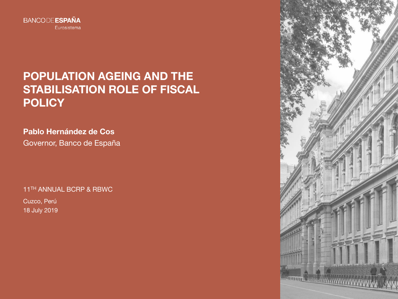

# **POPULATION AGEING AND THE STABILISATION ROLE OF FISCAL POLICY**

*<u>MANITORITIER</u>* 

*<u>INTERESTER ATTALLA</u>* 

**Pablo Hernández de Cos** Governor, Banco de España

11TH ANNUAL BCRP & RBWC

Cuzco, Perú 18 July 2019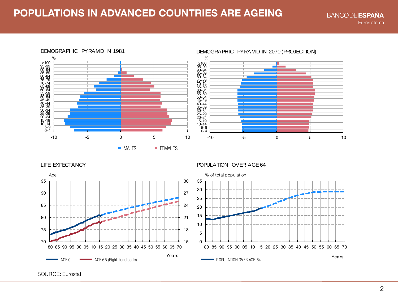# **POPULATIONS IN ADVANCED COUNTRIES ARE AGEING**





LIFE EXPECTANCY



#### POPULATION OVER AGE 64



SOURCE: Eurostat.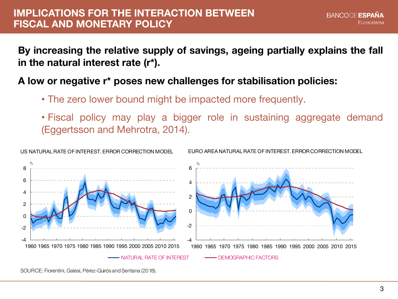# **IMPLICATIONS FOR THE INTERACTION BETWEEN FISCAL AND MONETARY POLICY**

**By increasing the relative supply of savings, ageing partially explains the fall in the natural interest rate (r\*).**

# **A low or negative r\* poses new challenges for stabilisation policies:**

- The zero lower bound might be impacted more frequently.
- Fiscal policy may play a bigger role in sustaining aggregate demand (Eggertsson and Mehrotra, 2014).



SOURCE: Fiorentini, Galesi, Pérez-Quirós and Sentana (2018).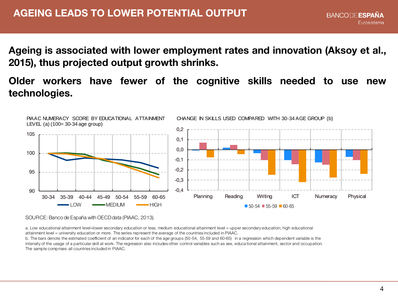**Ageing is associated with lower employment rates and innovation (Aksoy et al., 2015), thus projected output growth shrinks.**

**Older workers have fewer of the cognitive skills needed to use new technologies.**



SOURCE: Banco de España with OECD data (PIAAC, 2013).

a. Low educational attainment level=lower secondary education or less; medium educational attainment level = upper secondary education; high educational attainment level = university education or more. The series represent the average of the countries included in PIAAC.

b. The bars denote the estimated coefficient of an indicator for each of the age groups (50-54, 55-59 and 60-65) in a regression which dependent variable is the intensity of the usage of a particular skill at work. The regression also includes other control variables such as sex, educa tional attainment, sector and occupation. The sample comprises all countries included in PIAAC.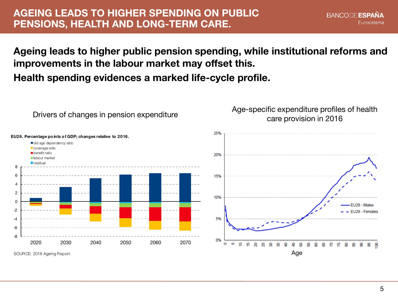# **AGEING LEADS TO HIGHER SPENDING ON PUBLIC PENSIONS, HEALTH AND LONG-TERM CARE.**

# **Ageing leads to higher public pension spending, while institutional reforms and improvements in the labour market may offset this.**

**Health spending evidences a marked life-cycle profile.**



SOURCE: 2018 Ageing Report.

EU28 - Males - EU28 - Females

**BANCODE ESPAÑA** 

ន ଞ 8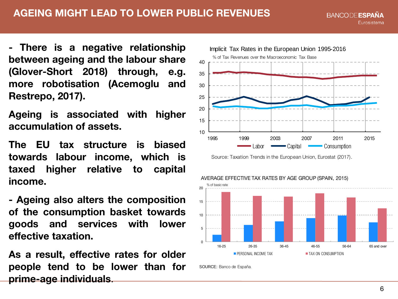# **AGEING MIGHT LEAD TO LOWER PUBLIC REVENUES**

**BANCODE ESPAÑA** Eurosistema

**- There is a negative relationship between ageing and the labour share (Glover-Short 2018) through, e.g. more robotisation (Acemoglu and Restrepo, 2017).**

**Ageing is associated with higher accumulation of assets.**

**The EU tax structure is biased towards labour income, which is taxed higher relative to capital income.**

**- Ageing also alters the composition of the consumption basket towards goods and services with lower effective taxation.**

**As a result, effective rates for older people tend to be lower than for prime-age individuals**.



Source: Taxation Trends in the European Union, Eurostat (2017).



SOURCE: Banco de España.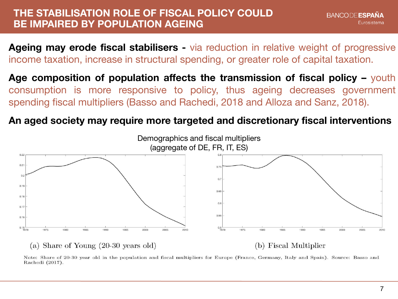#### **THE STABILISATION ROLE OF FISCAL POLICY COULD BE IMPAIRED BY POPULATION AGEING**

**Ageing may erode fiscal stabilisers -** via reduction in relative weight of progressive income taxation, increase in structural spending, or greater role of capital taxation.

**Age composition of population affects the transmission of fiscal policy –** youth consumption is more responsive to policy, thus ageing decreases government spending fiscal multipliers (Basso and Rachedi, 2018 and Alloza and Sanz, 2018).

# **An aged society may require more targeted and discretionary fiscal interventions**



Note: Share of 20-30 year old in the population and fiscal multipliers for Europe (France, Germany, Italy and Spain). Source: Basso and Rachedi (2017).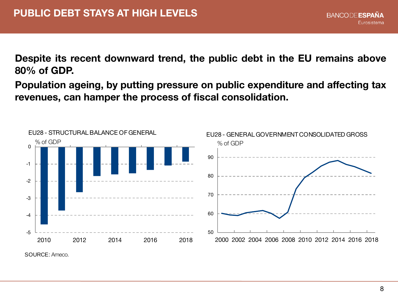**Despite its recent downward trend, the public debt in the EU remains above 80% of GDP.**

**Population ageing, by putting pressure on public expenditure and affecting tax revenues, can hamper the process of fiscal consolidation.**



SOURCE: Ameco.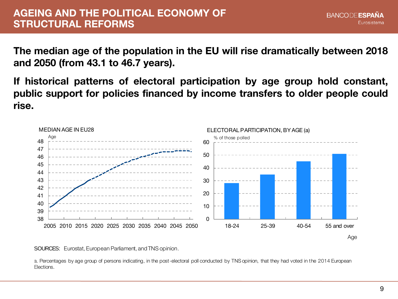### **AGEING AND THE POLITICAL ECONOMY OF STRUCTURAL REFORMS**

**The median age of the population in the EU will rise dramatically between 2018 and 2050 (from 43.1 to 46.7 years).**

**If historical patterns of electoral participation by age group hold constant, public support for policies financed by income transfers to older people could rise.**



SOURCES: Eurostat, European Parliament, and TNS opinion.

a. Percentages by age group of persons indicating, in the post-electoral poll conducted by TNS opinion, that they had voted in the 2014 European Elections.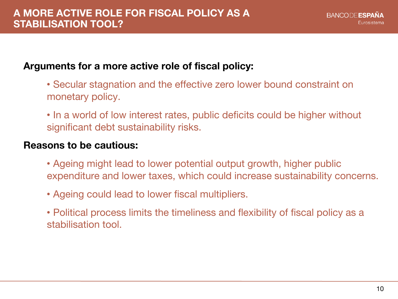# **Arguments for a more active role of fiscal policy:**

- Secular stagnation and the effective zero lower bound constraint on monetary policy.
- In a world of low interest rates, public deficits could be higher without significant debt sustainability risks.

#### **Reasons to be cautious:**

- Ageing might lead to lower potential output growth, higher public expenditure and lower taxes, which could increase sustainability concerns.
- Ageing could lead to lower fiscal multipliers.
- Political process limits the timeliness and flexibility of fiscal policy as a stabilisation tool.